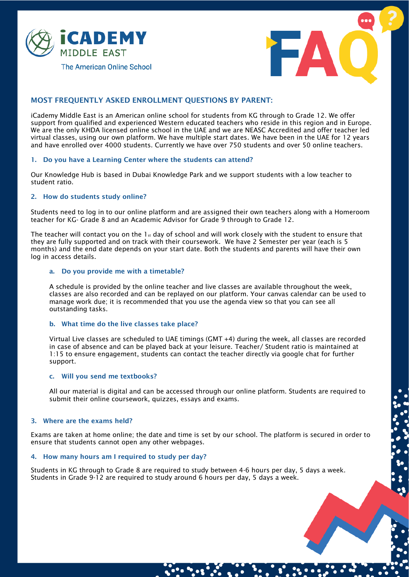



# MOST FREQUENTLY ASKED ENROLLMENT QUESTIONS BY PARENT:

iCademy Middle East is an American online school for students from KG through to Grade 12. We offer support from qualified and experienced Western educated teachers who reside in this region and in Europe. We are the only KHDA licensed online school in the UAE and we are NEASC Accredited and offer teacher led virtual classes, using our own platform. We have multiple start dates. We have been in the UAE for 12 years and have enrolled over 4000 students. Currently we have over 750 students and over 50 online teachers.

## 1. Do you have a Learning Center where the students can attend?

Our Knowledge Hub is based in Dubai Knowledge Park and we support students with a low teacher to student ratio.

## 2. How do students study online?

Students need to log in to our online platform and are assigned their own teachers along with a Homeroom teacher for KG- Grade 8 and an Academic Advisor for Grade 9 through to Grade 12.

The teacher will contact you on the  $1_{st}$  day of school and will work closely with the student to ensure that they are fully supported and on track with their coursework. We have 2 Semester per year (each is 5 months) and the end date depends on your start date. Both the students and parents will have their own log in access details.

## a. Do you provide me with a timetable?

A schedule is provided by the online teacher and live classes are available throughout the week, classes are also recorded and can be replayed on our platform. Your canvas calendar can be used to manage work due; it is recommended that you use the agenda view so that you can see all outstanding tasks.

## b. What time do the live classes take place?

Virtual Live classes are scheduled to UAE timings (GMT +4) during the week, all classes are recorded in case of absence and can be played back at your leisure. Teacher/ Student ratio is maintained at 1:15 to ensure engagement, students can contact the teacher directly via google chat for further support.

#### c. Will you send me textbooks?

All our material is digital and can be accessed through our online platform. Students are required to submit their online coursework, quizzes, essays and exams.

## 3. Where are the exams held?

Exams are taken at home online; the date and time is set by our school. The platform is secured in order to ensure that students cannot open any other webpages.

#### 4. How many hours am I required to study per day?

Students in KG through to Grade 8 are required to study between 4-6 hours per day, 5 days a week. Students in Grade 9-12 are required to study around 6 hours per day, 5 days a week.